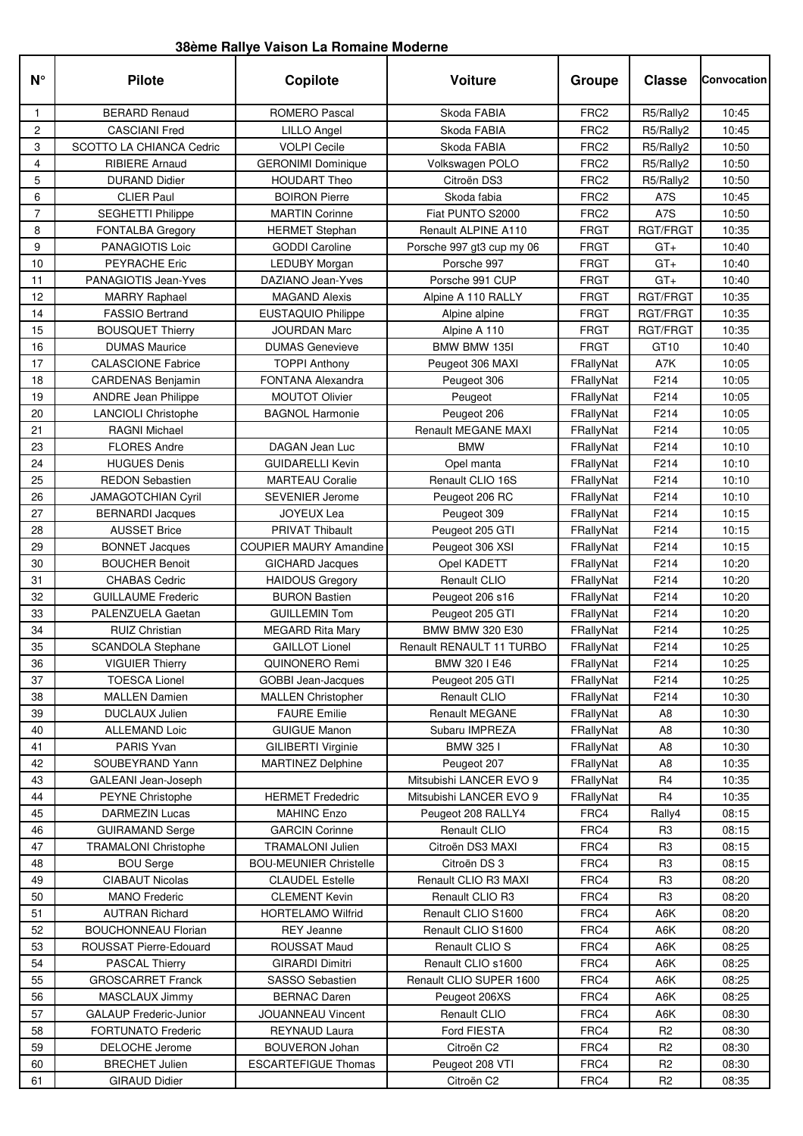## **38ème Rallye Vaison La Romaine Moderne**

| $N^{\circ}$    | <b>Pilote</b>                   | Copilote                      | Voiture                   | Groupe           | <b>Classe</b>    | Convocation |
|----------------|---------------------------------|-------------------------------|---------------------------|------------------|------------------|-------------|
| 1              | <b>BERARD Renaud</b>            | <b>ROMERO Pascal</b>          | Skoda FABIA               | FRC <sub>2</sub> | R5/Rally2        | 10:45       |
| 2              | <b>CASCIANI Fred</b>            | <b>LILLO Angel</b>            | Skoda FABIA               | FRC <sub>2</sub> | R5/Rally2        | 10:45       |
| 3              | <b>SCOTTO LA CHIANCA Cedric</b> | <b>VOLPI Cecile</b>           | Skoda FABIA               | FRC <sub>2</sub> | R5/Rally2        | 10:50       |
| 4              | <b>RIBIERE Arnaud</b>           | <b>GERONIMI Dominique</b>     | Volkswagen POLO           | FRC <sub>2</sub> | R5/Rally2        | 10:50       |
| 5              | <b>DURAND Didier</b>            | <b>HOUDART Theo</b>           | Citroën DS3               | FRC <sub>2</sub> | R5/Rally2        | 10:50       |
| 6              | <b>CLIER Paul</b>               | <b>BOIRON Pierre</b>          | Skoda fabia               | FRC <sub>2</sub> | A7S              | 10:45       |
| $\overline{7}$ | <b>SEGHETTI Philippe</b>        | <b>MARTIN Corinne</b>         | Fiat PUNTO S2000          | FRC <sub>2</sub> | A7S              | 10:50       |
| 8              | FONTALBA Gregory                | <b>HERMET Stephan</b>         | Renault ALPINE A110       | <b>FRGT</b>      | RGT/FRGT         | 10:35       |
| 9              | PANAGIOTIS Loic                 | <b>GODDI Caroline</b>         | Porsche 997 gt3 cup my 06 | <b>FRGT</b>      | $GT +$           | 10:40       |
| 10             | PEYRACHE Eric                   | <b>LEDUBY Morgan</b>          | Porsche 997               | <b>FRGT</b>      | $GT +$           | 10:40       |
| 11             | PANAGIOTIS Jean-Yves            | DAZIANO Jean-Yves             | Porsche 991 CUP           | <b>FRGT</b>      | $GT +$           | 10:40       |
| 12             | <b>MARRY Raphael</b>            | <b>MAGAND Alexis</b>          | Alpine A 110 RALLY        | <b>FRGT</b>      | RGT/FRGT         | 10:35       |
| 14             | <b>FASSIO Bertrand</b>          | <b>EUSTAQUIO Philippe</b>     | Alpine alpine             | <b>FRGT</b>      | RGT/FRGT         | 10:35       |
| 15             | <b>BOUSQUET Thierry</b>         | <b>JOURDAN Marc</b>           | Alpine A 110              | <b>FRGT</b>      | <b>RGT/FRGT</b>  | 10:35       |
| 16             | <b>DUMAS Maurice</b>            | <b>DUMAS Genevieve</b>        | BMW BMW 135I              | <b>FRGT</b>      | GT <sub>10</sub> | 10:40       |
| 17             | <b>CALASCIONE Fabrice</b>       | <b>TOPPI Anthony</b>          | Peugeot 306 MAXI          | FRallyNat        | A7K              | 10:05       |
| 18             | <b>CARDENAS Benjamin</b>        | FONTANA Alexandra             | Peugeot 306               | FRallyNat        | F214             | 10:05       |
| 19             | <b>ANDRE Jean Philippe</b>      | <b>MOUTOT Olivier</b>         | Peugeot                   | FRallyNat        | F214             | 10:05       |
| 20             | <b>LANCIOLI Christophe</b>      | <b>BAGNOL Harmonie</b>        | Peugeot 206               | FRallyNat        | F214             | 10:05       |
| 21             | <b>RAGNI Michael</b>            |                               | Renault MEGANE MAXI       | FRallyNat        | F214             | 10:05       |
| 23             | <b>FLORES Andre</b>             | DAGAN Jean Luc                | <b>BMW</b>                | FRallyNat        | F214             | 10:10       |
| 24             | <b>HUGUES Denis</b>             | <b>GUIDARELLI Kevin</b>       | Opel manta                | FRallyNat        | F214             | 10:10       |
| 25             | <b>REDON Sebastien</b>          | <b>MARTEAU Coralie</b>        | Renault CLIO 16S          | FRallyNat        | F214             | 10:10       |
| 26             | <b>JAMAGOTCHIAN Cyril</b>       | <b>SEVENIER Jerome</b>        | Peugeot 206 RC            | FRallyNat        | F214             | 10:10       |
| 27             | <b>BERNARDI Jacques</b>         | <b>JOYEUX Lea</b>             | Peugeot 309               | FRallyNat        | F214             | 10:15       |
| 28             | <b>AUSSET Brice</b>             | <b>PRIVAT Thibault</b>        | Peugeot 205 GTI           | FRallyNat        | F214             | 10:15       |
| 29             | <b>BONNET Jacques</b>           | <b>COUPIER MAURY Amandine</b> | Peugeot 306 XSI           | FRallyNat        | F214             | 10:15       |
| 30             | <b>BOUCHER Benoit</b>           | <b>GICHARD Jacques</b>        | Opel KADETT               | FRallyNat        | F214             | 10:20       |
| 31             | <b>CHABAS Cedric</b>            | <b>HAIDOUS Gregory</b>        | Renault CLIO              | FRallyNat        | F214             | 10:20       |
| 32             | <b>GUILLAUME Frederic</b>       | <b>BURON Bastien</b>          | Peugeot 206 s16           | FRallyNat        | F214             | 10:20       |
| 33             | PALENZUELA Gaetan               | <b>GUILLEMIN Tom</b>          | Peugeot 205 GTI           | FRallyNat        | F214             | 10:20       |
| 34             | <b>RUIZ Christian</b>           | <b>MEGARD Rita Mary</b>       | BMW BMW 320 E30           | FRallyNat        | F214             | 10:25       |
| 35             | <b>SCANDOLA Stephane</b>        | <b>GAILLOT Lionel</b>         | Renault RENAULT 11 TURBO  | FRallyNat        | F214             | 10:25       |
| 36             | <b>VIGUIER Thierry</b>          | QUINONERO Remi                | BMW 320 I E46             | FRallyNat        | F214             | 10:25       |
| 37             | <b>TOESCA Lionel</b>            | <b>GOBBI Jean-Jacques</b>     | Peugeot 205 GTI           | FRallyNat        | F214             | 10:25       |
| 38             | <b>MALLEN Damien</b>            | <b>MALLEN Christopher</b>     | Renault CLIO              | FRallyNat        | F214             | 10:30       |
| 39             | DUCLAUX Julien                  | <b>FAURE Emilie</b>           | <b>Renault MEGANE</b>     | FRallyNat        | A <sub>8</sub>   | 10:30       |
| 40             | ALLEMAND Loic                   | <b>GUIGUE Manon</b>           | Subaru IMPREZA            | FRallyNat        | A <sub>8</sub>   | 10:30       |
| 41             | PARIS Yvan                      | <b>GILIBERTI Virginie</b>     | BMW 3251                  | FRallyNat        | A8               | 10:30       |
| 42             | SOUBEYRAND Yann                 | <b>MARTINEZ Delphine</b>      | Peugeot 207               | FRallyNat        | A8               | 10:35       |
| 43             | GALEANI Jean-Joseph             |                               | Mitsubishi LANCER EVO 9   | FRallyNat        | R <sub>4</sub>   | 10:35       |
| 44             | <b>PEYNE Christophe</b>         | <b>HERMET Frededric</b>       | Mitsubishi LANCER EVO 9   | FRallyNat        | R4               | 10:35       |
| 45             | <b>DARMEZIN Lucas</b>           | <b>MAHINC Enzo</b>            | Peugeot 208 RALLY4        | FRC4             | Rally4           | 08:15       |
| 46             | <b>GUIRAMAND Serge</b>          | <b>GARCIN Corinne</b>         | Renault CLIO              | FRC4             | R3               | 08:15       |
| 47             | <b>TRAMALONI Christophe</b>     | <b>TRAMALONI Julien</b>       | Citroën DS3 MAXI          | FRC4             | R <sub>3</sub>   | 08:15       |
| 48             | <b>BOU Serge</b>                | <b>BOU-MEUNIER Christelle</b> | Citroën DS 3              | FRC4             | R <sub>3</sub>   | 08:15       |
| 49             | <b>CIABAUT Nicolas</b>          | <b>CLAUDEL Estelle</b>        | Renault CLIO R3 MAXI      | FRC4             | R <sub>3</sub>   | 08:20       |
| 50             | <b>MANO</b> Frederic            | <b>CLEMENT Kevin</b>          | Renault CLIO R3           | FRC4             | R <sub>3</sub>   | 08:20       |
| 51             | <b>AUTRAN Richard</b>           | <b>HORTELAMO Wilfrid</b>      | Renault CLIO S1600        | FRC4             | A6K              | 08:20       |
| 52             | <b>BOUCHONNEAU Florian</b>      | REY Jeanne                    | Renault CLIO S1600        | FRC4             | A6K              | 08:20       |
| 53             | ROUSSAT Pierre-Edouard          | ROUSSAT Maud                  | Renault CLIO S            | FRC4             | A6K              | 08:25       |
| 54             | <b>PASCAL Thierry</b>           | <b>GIRARDI Dimitri</b>        | Renault CLIO s1600        | FRC4             | A6K              | 08:25       |
| 55             | <b>GROSCARRET Franck</b>        | SASSO Sebastien               | Renault CLIO SUPER 1600   | FRC4             | A6K              | 08:25       |
| 56             | MASCLAUX Jimmy                  | <b>BERNAC Daren</b>           | Peugeot 206XS             | FRC4             | A6K              | 08:25       |
| 57             | <b>GALAUP Frederic-Junior</b>   | JOUANNEAU Vincent             | Renault CLIO              | FRC4             | A6K              | 08:30       |
| 58             | <b>FORTUNATO Frederic</b>       | <b>REYNAUD Laura</b>          | Ford FIESTA               | FRC4             | R <sub>2</sub>   | 08:30       |
| 59             | DELOCHE Jerome                  | <b>BOUVERON Johan</b>         | Citroën C2                | FRC4             | R2               | 08:30       |
| 60             | <b>BRECHET Julien</b>           | <b>ESCARTEFIGUE Thomas</b>    | Peugeot 208 VTI           | FRC4             | R <sub>2</sub>   | 08:30       |
| 61             | <b>GIRAUD Didier</b>            |                               | Citroën C2                | FRC4             | R <sub>2</sub>   | 08:35       |